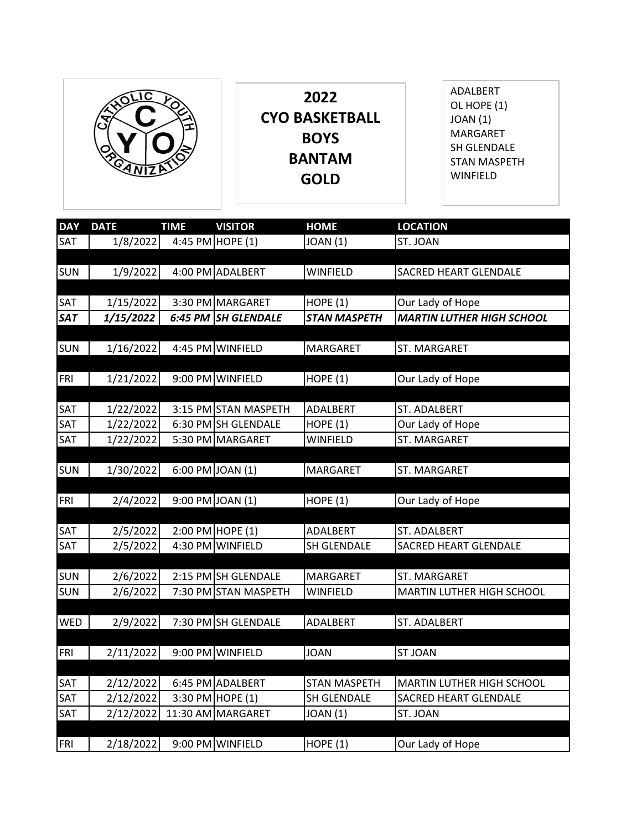

**2022 CYO BASKETBALL BOYS BANTAM GOLD**

ADALBERT OL HOPE (1) JOAN (1) MARGARET SH GLENDALE STAN MASPETH WINFIELD

| <b>DAY</b> | <b>DATE</b> | <b>TIME</b> | <b>VISITOR</b>       | <b>HOME</b>         | <b>LOCATION</b>                  |
|------------|-------------|-------------|----------------------|---------------------|----------------------------------|
| SAT        | 1/8/2022    |             | 4:45 PM HOPE (1)     | <b>JOAN (1)</b>     | ST. JOAN                         |
|            |             |             |                      |                     |                                  |
| <b>SUN</b> | 1/9/2022    |             | 4:00 PM ADALBERT     | <b>WINFIELD</b>     | <b>SACRED HEART GLENDALE</b>     |
|            |             |             |                      |                     |                                  |
| SAT        | 1/15/2022   |             | 3:30 PM MARGARET     | <b>HOPE (1)</b>     | Our Lady of Hope                 |
| <b>SAT</b> | 1/15/2022   |             | 6:45 PM SH GLENDALE  | <b>STAN MASPETH</b> | <b>MARTIN LUTHER HIGH SCHOOL</b> |
|            |             |             |                      |                     |                                  |
| <b>SUN</b> | 1/16/2022   |             | 4:45 PM WINFIELD     | MARGARET            | ST. MARGARET                     |
|            |             |             |                      |                     |                                  |
| FRI        | 1/21/2022   |             | 9:00 PM WINFIELD     | <b>HOPE (1)</b>     | Our Lady of Hope                 |
|            |             |             |                      |                     |                                  |
| SAT        | 1/22/2022   |             | 3:15 PM STAN MASPETH | ADALBERT            | ST. ADALBERT                     |
| SAT        | 1/22/2022   |             | 6:30 PM SH GLENDALE  | HOPE $(1)$          | Our Lady of Hope                 |
| SAT        | 1/22/2022   |             | 5:30 PM MARGARET     | <b>WINFIELD</b>     | ST. MARGARET                     |
|            |             |             |                      |                     |                                  |
| <b>SUN</b> | 1/30/2022   |             | 6:00 PM JOAN (1)     | MARGARET            | ST. MARGARET                     |
|            |             |             |                      |                     |                                  |
| FRI        | 2/4/2022    |             | 9:00 PM JOAN (1)     | <b>HOPE (1)</b>     | Our Lady of Hope                 |
|            |             |             |                      |                     |                                  |
| SAT        | 2/5/2022    |             | 2:00 PM HOPE (1)     | ADALBERT            | ST. ADALBERT                     |
| SAT        | 2/5/2022    |             | 4:30 PM WINFIELD     | SH GLENDALE         | <b>SACRED HEART GLENDALE</b>     |
|            |             |             |                      |                     |                                  |
| <b>SUN</b> | 2/6/2022    |             | 2:15 PM SH GLENDALE  | MARGARET            | ST. MARGARET                     |
| <b>SUN</b> | 2/6/2022    |             | 7:30 PM STAN MASPETH | <b>WINFIELD</b>     | MARTIN LUTHER HIGH SCHOOL        |
|            |             |             |                      |                     |                                  |
| <b>WED</b> | 2/9/2022    |             | 7:30 PM SH GLENDALE  | ADALBERT            | ST. ADALBERT                     |
|            |             |             |                      |                     |                                  |
| FRI        | 2/11/2022   |             | 9:00 PM WINFIELD     | <b>JOAN</b>         | <b>ST JOAN</b>                   |
|            |             |             |                      |                     |                                  |
| SAT        | 2/12/2022   |             | 6:45 PM ADALBERT     | <b>STAN MASPETH</b> | MARTIN LUTHER HIGH SCHOOL        |
| SAT        | 2/12/2022   |             | 3:30 PM HOPE (1)     | SH GLENDALE         | SACRED HEART GLENDALE            |
| SAT        | 2/12/2022   |             | 11:30 AM MARGARET    | <b>JOAN</b> (1)     | ST. JOAN                         |
|            |             |             |                      |                     |                                  |
| FRI        | 2/18/2022   |             | 9:00 PM WINFIELD     | HOPE $(1)$          | Our Lady of Hope                 |